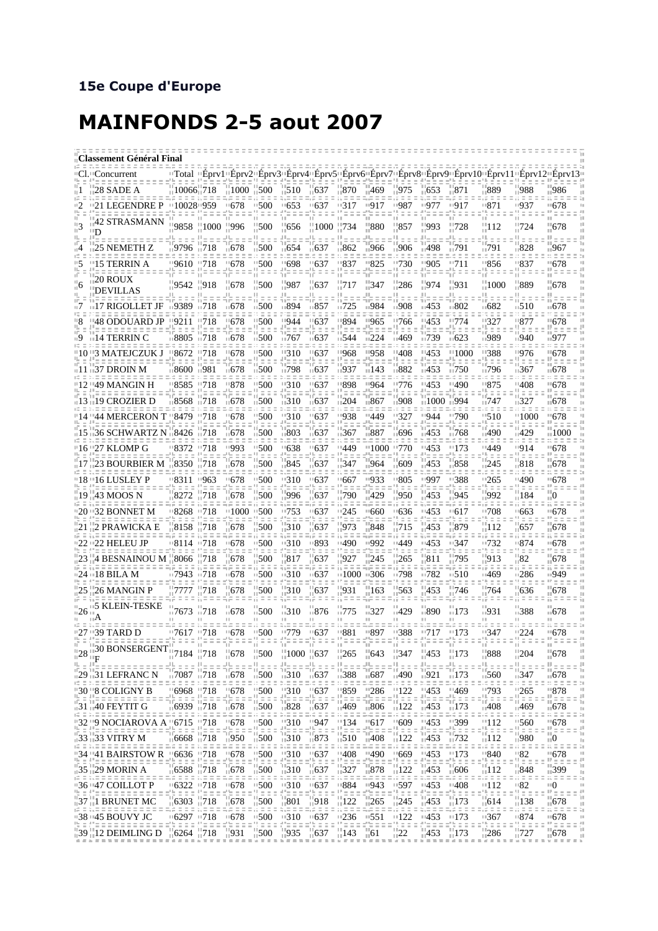## **MAINFONDS 2-5 aout 2007**

| Classement Général Final |                                                                                        |                                                          |                      |                              |                                                       |                                               |                       |                                         |                          |                                            |                            |                                                                             |                                                                                                                  |                                        |                                                                         |
|--------------------------|----------------------------------------------------------------------------------------|----------------------------------------------------------|----------------------|------------------------------|-------------------------------------------------------|-----------------------------------------------|-----------------------|-----------------------------------------|--------------------------|--------------------------------------------|----------------------------|-----------------------------------------------------------------------------|------------------------------------------------------------------------------------------------------------------|----------------------------------------|-------------------------------------------------------------------------|
|                          | CI. "Concu                                                                             |                                                          |                      |                              |                                                       |                                               |                       |                                         |                          |                                            |                            | "Total="Eprv1"Eprv2"Eprv3"Eprv4"Eprv5"Eprv6"Eprv7"Eprv8"Eprv9"Eprv10"Eprv11 |                                                                                                                  | "Epry12"Epry13                         |                                                                         |
|                          | 28 SADE A                                                                              | $10066$ , 718                                            |                      | $1000$ $1500$                |                                                       | 510                                           | 637                   | -870                                    | 469                      | 975                                        | 653                        | 871                                                                         | 889                                                                                                              | 988                                    | 986                                                                     |
|                          | 21 LEGENDRE P                                                                          | 1100281959                                               |                      | ™678                         | 500                                                   | □653                                          | ∘637                  | □317                                    | 1917                     | □987                                       | 977⊤                       | □917                                                                        | ™871                                                                                                             | □937                                   | ™678                                                                    |
|                          | 42 STRASMANN<br>Ð                                                                      | 9858                                                     | $\binom{1000}{1000}$ | $\frac{11}{2}996$            | 500                                                   | 656                                           | 1000                  | - 734                                   | -880                     | 857                                        | 993                        | 728                                                                         | 112                                                                                                              | .724                                   | 678                                                                     |
|                          | 25 NEMETH Z                                                                            | ⊪9796-                                                   | $\overline{118}$     | ⊪678                         | $\scriptstyle\pm 500$                                 | $\Box$ 654                                    | ⊪637                  | ⊪862                                    | ⊪966                     | ⊪906                                       | ⊺498                       | ⊪791                                                                        | ⊪791                                                                                                             | ⊪828                                   | ⊪967                                                                    |
|                          | '15 TERRIN A                                                                           | "9610 "718                                               |                      | $-678$                       | 500                                                   | "698                                          | 637                   | ™837                                    | ''825                    | ™730                                       | 1905                       | ''711                                                                       | ™856                                                                                                             | ™837                                   | ™678                                                                    |
|                          | 20 ROUX<br><b>DEVILLAS</b>                                                             | 9542                                                     | $-918$               | - 678                        | $-500$                                                | 987                                           | -637                  | - 717                                   | - 347                    | $\frac{1}{11}286$                          | - 974                      | $-931$                                                                      | $\frac{11}{11}$ 1000                                                                                             | - 889                                  | $-678$                                                                  |
|                          | 17 RIGOLLET JF                                                                         | ⊪9389                                                    | □718                 | ⊧678                         | 500                                                   | ⊪894                                          | 857                   | ∍725                                    | ∍984                     | □908                                       | □453                       | ⊪802                                                                        | ⊪682                                                                                                             | ∍510                                   | ⊪678                                                                    |
|                          | 48 ODOUARD JP ‼9211                                                                    |                                                          | 718                  | 678                          | 500                                                   | 944                                           | 637                   | 894                                     | 965                      | 766                                        | 453                        | 774                                                                         | '327                                                                                                             | '877                                   | 678                                                                     |
| ۱Y                       | 14 TERRIN C                                                                            | □8805                                                    | 11718                | □678                         | □500                                                  | ⊪767                                          | ⊧637                  | □544                                    | 1224                     | □469                                       | □739                       | 10623                                                                       | ∍989                                                                                                             | □940                                   | ⊪977                                                                    |
|                          | '3 MATEJCZUK J                                                                         | 8672                                                     | 718                  | 678                          | 500                                                   | 310                                           | 637                   | '968                                    | '958                     | '408                                       | 453                        | '1000                                                                       | '388                                                                                                             | 976                                    | 678                                                                     |
|                          | $\pm 11$ $\pm 37$ DROIN M                                                              | ⊞8600 ⊞981                                               |                      | $\overline{11678}$           | □500                                                  | ⊪798                                          | ⊪637                  | ⊪937                                    | $\Box$ 143               | ⊪882                                       | $-453$                     | $\overline{0}$ 750                                                          | ∏796                                                                                                             | □367                                   | □678                                                                    |
|                          | '49 MANGIN H                                                                           | '8585                                                    | 718                  | 878                          | 500                                                   | 310                                           | 637                   | 898                                     | '964                     | 776                                        | '453                       | '490                                                                        | '875                                                                                                             | 408                                    | 678<br>$=$ $=$                                                          |
|                          | ∏19 CROZIER D                                                                          | ⊞8568                                                    | $\sqrt{718}$         | ⊪678                         | 500                                                   | 310                                           | □637                  | $\sqrt{204}$                            | ⊪867                     | □908                                       | □ 1000                     | ⊪994                                                                        | ⊪747                                                                                                             | $-327$                                 | ⊧678                                                                    |
|                          | ''44 MERCERON                                                                          | <b>18479</b>                                             | '718                 | '678                         | 500                                                   | 310                                           | 637                   | ™938                                    | '449                     | 327                                        | '944                       | ™790                                                                        | ''510                                                                                                            | ''1000                                 | '678                                                                    |
|                          | 36 SCHWARTZ N                                                                          | 18426                                                    | 718                  | $_1678$                      | 500                                                   | 803                                           | 637                   | 367                                     | ⊧887                     | :696                                       | 453                        | 768                                                                         | ⊺490                                                                                                             | 1429                                   | 1000 <sub>-</sub>                                                       |
|                          | 16 ביי 16 I KLOMP G                                                                    | ™8372                                                    | 11718                | 8993                         | 500                                                   | ™638                                          | 637                   | ™449                                    | ™1000                    | 11770                                      | ''453                      | ™173                                                                        | □449                                                                                                             | □914                                   | '678                                                                    |
| 17                       | <b>23 BOURBIER M</b>                                                                   | $-8350$                                                  | -718                 | 678                          | 500                                                   | 845                                           | 637                   | 347                                     | $-964$                   | -609                                       | $-453$                     | -858                                                                        | -245                                                                                                             | -818                                   | -678                                                                    |
|                          |                                                                                        | '8311                                                    | '963                 | ∘678                         | 500                                                   | 310                                           | 637                   | ∘667                                    | $-933$                   | ∙805                                       | ∘997                       | ∙388                                                                        | ™265                                                                                                             | 1490                                   | '678                                                                    |
|                          | 19   43 MOOS N                                                                         | 8272                                                     | -718                 | -678                         | 500                                                   | '996                                          | 637                   | -790                                    | 429                      | $-950$                                     | $-453$                     | '945                                                                        | 992                                                                                                              | 184                                    | 6                                                                       |
|                          |                                                                                        | ™8268                                                    | ™718                 | □1000                        | ™500                                                  | 1753                                          | 637                   | □245                                    | '660                     | $-636$                                     | ™453                       | '617                                                                        | ™708                                                                                                             | '663                                   | ™678                                                                    |
| 21                       | 112 PRAWICKA E                                                                         | 8158                                                     | -718                 | -678                         | 500                                                   | 310                                           | 637                   | 973                                     | 848                      | 715                                        | 453                        | -879                                                                        | -112                                                                                                             | -657                                   | -678                                                                    |
|                          | '22 ''22 HELEU JP                                                                      | □8114                                                    | 11718                | ™678                         | 500                                                   | □310                                          | 893                   | □490                                    | □992                     | □449                                       | □453                       | □347                                                                        | □732                                                                                                             | □874                                   | □678                                                                    |
|                          | #4 BESNAINOU M #8066                                                                   |                                                          | - 718                | -678                         | -500                                                  | 817                                           | 637                   | 927                                     | 245                      | 265                                        | 811                        | -795                                                                        | 913                                                                                                              | 82                                     | -678                                                                    |
|                          | #24 #18 BILA M                                                                         | □7943                                                    | ⊞718                 | □678                         | $-500$                                                | □310                                          | □637                  | $\scriptstyle\pm 1000$                  | 1306                     | □798                                       | □782                       | 1510                                                                        | □469                                                                                                             | □286                                   | □949                                                                    |
| 25                       | :26 MANGIN P                                                                           | 7777                                                     | 718                  | 678                          | 500                                                   | 310                                           | 637                   | 931                                     | 163                      | 563                                        | 453                        | 746                                                                         | 764                                                                                                              | 636                                    | 678                                                                     |
| ⊪26                      | <b>5 KLEIN-TESKE</b>                                                                   | ⊪7673                                                    | $-718$               | ⊪678                         | $-500$                                                | $\overline{310}$                              | $\scriptstyle\pm 876$ | - 775                                   | $-327$                   | $-429$                                     | ⊪890                       | $-173$                                                                      | ⊪931                                                                                                             | ⊪388                                   | □ 678                                                                   |
|                          | י 27 ב-39' TARD D                                                                      | ™7617                                                    | ™718                 | ™678                         | 500                                                   | 9779                                          | 637                   | '881                                    | '897                     | □388                                       | 717                        | "173                                                                        | □347                                                                                                             | 1224                                   | ™678                                                                    |
| 및 비분                     | $\frac{1}{1128}$ $\frac{130}{117}$ BONSERGENT $\frac{11}{117}$ 184 $\frac{11}{117}$ 18 | $=$ $=$ $=$                                              | $z \pm z$            | $-678$<br>$\equiv$ $\equiv$  | $^{11}_{11}$ 500<br>$\mathbb{Z} \subseteq \mathbb{Z}$ | $^{11}_{11}$ 1000 $^{11}_{11}$ 637<br>die e e | elbe e e              | $^{11}_{11}265$<br>$H = \pm 1$          | $\frac{1}{10}643$<br>등호호 | <br>$^{11}_{11}$ 347<br>S = = =            | $^{11}_{11}$ 453<br>die ei | $^{11}_{11}$ 173<br>$\equiv$ $\equiv$                                       | $\frac{11}{11}888$<br>dhe e e                                                                                    | $^{11}_{11}204$<br>elle e              | <br>$\frac{11}{11}678$<br>H.<br>$\frac{11}{11} = 0 = 0 = \frac{11}{11}$ |
|                          | 1129 1131 LEFRANC N                                                                    | ⊞7087 ⊞718                                               |                      | $\overline{0.678}$           | .500                                                  | $-310 - 637$                                  |                       | ⊪388                                    | ⊪687                     | 11490                                      | 1.921                      | 173                                                                         | $\overline{0.560}$                                                                                               | ⊤347                                   | $\scriptstyle\pm 678$                                                   |
|                          | <b>"30 "8 COLIGNY B</b>                                                                | $\frac{116968}{2718}$                                    |                      | 678                          | $\frac{1}{2}500$                                      | $\frac{11310}{2}$                             | $\pm 637$             | ‼859                                    | 1286                     | "122                                       | - 453                      | $^{11469}_{-22}$                                                            | $^{11793}_{11.1}$                                                                                                | "265                                   | $^{\circ}878$<br>부모하                                                    |
|                          | $\overline{111140}$ FEYTIT G                                                           | <b>16939 1718</b>                                        |                      | 11678                        | 1500                                                  | $\overline{11828}$                            | 11637                 | ⊪469                                    | □806                     | $\frac{1}{11}$ 122                         | ⊩453                       | 173                                                                         | ⊤408                                                                                                             | ⊪469                                   | ⊪678<br>ロココ                                                             |
| 10 G                     | "32 "9 NOCIAROVA A "6715" "718                                                         |                                                          |                      | "678                         | "500                                                  | "310                                          | "947                  | "134                                    | '617                     | -609                                       | '453                       | H.                                                                          | "112                                                                                                             | ''560                                  | "678<br>부들로                                                             |
|                          | 1133 1133 VITRY M                                                                      | $116668$ $11718$                                         |                      | $\overline{11950}$           | 1500                                                  | $\overline{1310}$                             | $\overline{11873}$    | : =<br>$\overline{510}$                 | $\frac{1}{11}408$        | 2 F<br>$\frac{1}{11}$ 122                  | 2 G<br>⊩453                | $\frac{1}{11}$ 732                                                          | $\frac{11}{2}$                                                                                                   | $\equiv$ $\equiv$<br>∏980              | $\mathbf{u}$                                                            |
|                          | 118 <sup>11</sup> 34 141 BAIRSTOW R 116636 11718                                       |                                                          |                      | "678                         | 1500                                                  | $11310$ $11637$                               |                       | $^{\tiny\textsf{11}}408$                | ''490                    | "669                                       | ''453                      | "173                                                                        | ''840<br>Ш                                                                                                       | ''82<br>$\sim$ $\sim$                  | $-678$<br>$\frac{11}{11} \equiv \pm \pm$                                |
|                          | $\frac{1}{11}$ 35 $\frac{1}{11}$ 29 MORIN A                                            | $= 2.5$<br>$16588$ $1718$<br>d d d d                     | 1 = =                | $\overline{11678}$           | $\frac{1}{11}$ 500                                    | 10 G<br>$\frac{1}{11}$ 310 $\frac{1}{11}$ 637 |                       | $\frac{1}{11}327$                       | $\sqrt{878}$             | $\frac{1}{11}$ 122<br>.                    | : =<br>$\overline{11}$ 453 | -2.2<br>$\mathbf{1006}$<br>.e e e                                           | 10 G<br>$\frac{1}{11}$ 12                                                                                        | ⊪848<br>$\pi \equiv \pi$               | $\frac{1}{11}$ 399                                                      |
| 15 호기                    | ,,,,,,,,,,,,<br>#36#47 COILLOT P<br>: : : : : : : :                                    | 118" ב-6322<br>tille rille.                              |                      | "678<br>a'≶ a a :            | $-500$<br>Maaa                                        | <b>310</b><br>d'oboc'hodo                     | $-637$                | ™884<br>$\mathcal{V} \equiv \equiv \pm$ | ™943<br>te e e           | ™597<br>$\mathbb{R}^n = \mathbb{R}^n$      | ''453<br>Ma a a            | "408<br>dh e e                                                              | $\beta \equiv \pi$<br>''112<br>dhe e e                                                                           | ‼82<br>부호호                             | $\mathbb{Z} \equiv \mathbb{Z}$<br>''0<br>$\alpha$ = $\alpha$            |
| ш                        | $^{+37}_{+11}$ BRUNET MC                                                               | $^{11}_{11}$ 6303 $^{11}_{11}$ 718<br>=,= = = = ;, = = = |                      | $\frac{1}{10}678$<br>as e el | $\frac{1}{11}$ 500<br>.                               | $\frac{1}{11}801$                             | ш<br>$^{1918}$        | $\frac{11}{11}$ 122                     | $\frac{1}{12}$ 265       | $\frac{11}{11}245$<br>$\beta \equiv \pm 3$ | $^{1453}$<br>tion on the   | $\frac{1173}{2}$<br>1,2 = =                                                 | 614<br>$\overline{\phantom{a}}$ , $\overline{\phantom{a}}$ , $\overline{\phantom{a}}$ , $\overline{\phantom{a}}$ | H.<br>$\frac{1138}{11}$<br>$\pi = \pi$ | $-678$<br>$m = 12$                                                      |
| (2.2.2.2.2.1)            | #38 #45 BOUVY JC                                                                       | 811≔ 16297<br>ミコココ                                       |                      | ™678                         | 11500                                                 | 7.7777777777<br>$\frac{11310}{1637}$          | t e e                 | 1236                                    | $-551$                   | 1122                                       | 1453                       | 173<br>rti e e                                                              | 1367<br>A e e                                                                                                    | □874<br>Ma a                           | ™678<br>$\Omega \equiv \pi \pm$                                         |
|                          | $^{11}_{11}$ 39 $^{11}_{11}$ 12 DEIMLING D                                             | $^{11}_{11}$ 6264 $^{11}_{11}$ 718                       |                      | $^{11}_{11}931$              | $^{+500}$                                             | $^{1935}$                                     | $\frac{1}{11}$ 637    | $\frac{11}{11}$ 143                     | $\frac{1}{11}61$         | $\frac{11}{11}$ 22                         | 453                        | $\frac{11}{11}$ 173                                                         | $^{11}_{11}$ 286                                                                                                 | ш<br>$\frac{11}{11}727$                | 678                                                                     |